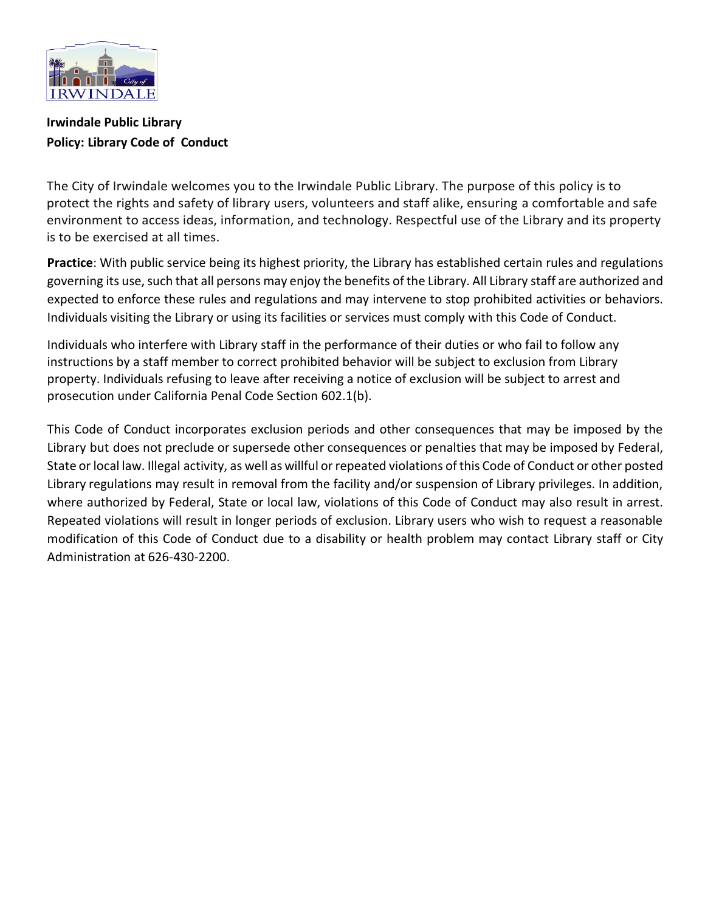

# **Irwindale Public Library Policy: Library Code of Conduct**

The City of Irwindale welcomes you to the Irwindale Public Library. The purpose of this policy is to protect the rights and safety of library users, volunteers and staff alike, ensuring a comfortable and safe environment to access ideas, information, and technology. Respectful use of the Library and its property is to be exercised at all times.

**Practice**: With public service being its highest priority, the Library has established certain rules and regulations governing its use, such that all persons may enjoy the benefits of the Library. All Library staff are authorized and expected to enforce these rules and regulations and may intervene to stop prohibited activities or behaviors. Individuals visiting the Library or using its facilities or services must comply with this Code of Conduct.

Individuals who interfere with Library staff in the performance of their duties or who fail to follow any instructions by a staff member to correct prohibited behavior will be subject to exclusion from Library property. Individuals refusing to leave after receiving a notice of exclusion will be subject to arrest and prosecution under California Penal Code Section 602.1(b).

This Code of Conduct incorporates exclusion periods and other consequences that may be imposed by the Library but does not preclude or supersede other consequences or penalties that may be imposed by Federal, State or local law. Illegal activity, as well as willful or repeated violations of this Code of Conduct or other posted Library regulations may result in removal from the facility and/or suspension of Library privileges. In addition, where authorized by Federal, State or local law, violations of this Code of Conduct may also result in arrest. Repeated violations will result in longer periods of exclusion. Library users who wish to request a reasonable modification of this Code of Conduct due to a disability or health problem may contact Library staff or City Administration at 626-430-2200.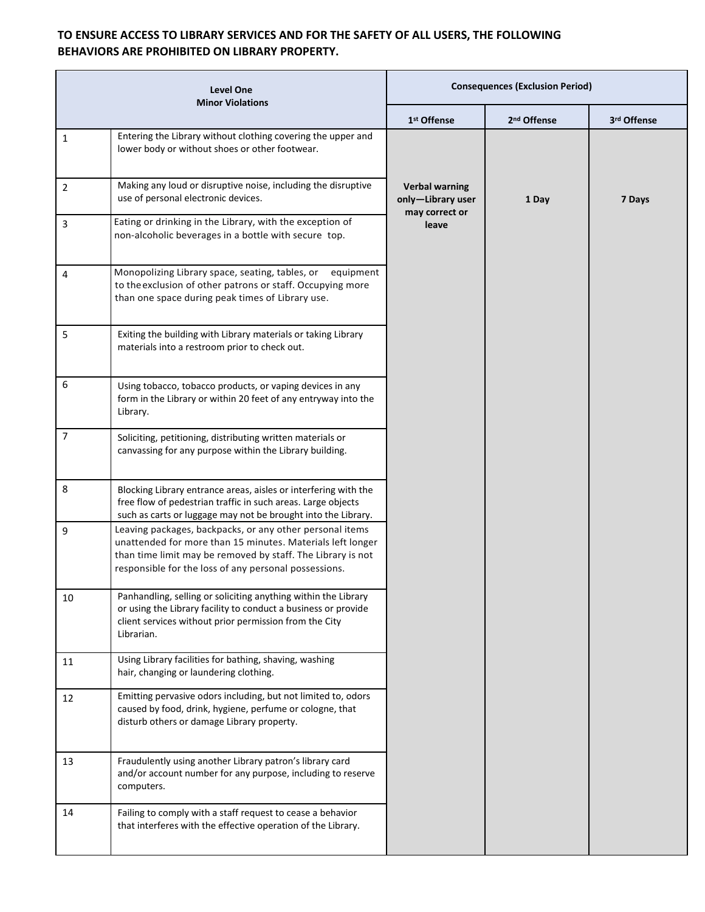## **TO ENSURE ACCESS TO LIBRARY SERVICES AND FOR THE SAFETY OF ALL USERS, THE FOLLOWING BEHAVIORS ARE PROHIBITED ON LIBRARY PROPERTY.**

| <b>Level One</b><br><b>Minor Violations</b> |                                                                                                                                                                                                                                                | <b>Consequences (Exclusion Period)</b>     |                         |                         |
|---------------------------------------------|------------------------------------------------------------------------------------------------------------------------------------------------------------------------------------------------------------------------------------------------|--------------------------------------------|-------------------------|-------------------------|
|                                             |                                                                                                                                                                                                                                                | 1 <sup>st</sup> Offense                    | 2 <sup>nd</sup> Offense | 3 <sup>rd</sup> Offense |
| $\mathbf{1}$                                | Entering the Library without clothing covering the upper and<br>lower body or without shoes or other footwear.                                                                                                                                 |                                            |                         |                         |
| $\overline{2}$                              | Making any loud or disruptive noise, including the disruptive<br>use of personal electronic devices.                                                                                                                                           | <b>Verbal warning</b><br>only-Library user | 1 Day                   | 7 Days                  |
| 3                                           | Eating or drinking in the Library, with the exception of<br>non-alcoholic beverages in a bottle with secure top.                                                                                                                               | may correct or<br>leave                    |                         |                         |
| 4                                           | Monopolizing Library space, seating, tables, or equipment<br>to the exclusion of other patrons or staff. Occupying more<br>than one space during peak times of Library use.                                                                    |                                            |                         |                         |
| 5                                           | Exiting the building with Library materials or taking Library<br>materials into a restroom prior to check out.                                                                                                                                 |                                            |                         |                         |
| 6                                           | Using tobacco, tobacco products, or vaping devices in any<br>form in the Library or within 20 feet of any entryway into the<br>Library.                                                                                                        |                                            |                         |                         |
| 7                                           | Soliciting, petitioning, distributing written materials or<br>canvassing for any purpose within the Library building.                                                                                                                          |                                            |                         |                         |
| 8                                           | Blocking Library entrance areas, aisles or interfering with the<br>free flow of pedestrian traffic in such areas. Large objects<br>such as carts or luggage may not be brought into the Library.                                               |                                            |                         |                         |
| 9                                           | Leaving packages, backpacks, or any other personal items<br>unattended for more than 15 minutes. Materials left longer<br>than time limit may be removed by staff. The Library is not<br>responsible for the loss of any personal possessions. |                                            |                         |                         |
| 10                                          | Panhandling, selling or soliciting anything within the Library<br>or using the Library facility to conduct a business or provide<br>client services without prior permission from the City<br>Librarian.                                       |                                            |                         |                         |
| 11                                          | Using Library facilities for bathing, shaving, washing<br>hair, changing or laundering clothing.                                                                                                                                               |                                            |                         |                         |
| 12                                          | Emitting pervasive odors including, but not limited to, odors<br>caused by food, drink, hygiene, perfume or cologne, that<br>disturb others or damage Library property.                                                                        |                                            |                         |                         |
| 13                                          | Fraudulently using another Library patron's library card<br>and/or account number for any purpose, including to reserve<br>computers.                                                                                                          |                                            |                         |                         |
| 14                                          | Failing to comply with a staff request to cease a behavior<br>that interferes with the effective operation of the Library.                                                                                                                     |                                            |                         |                         |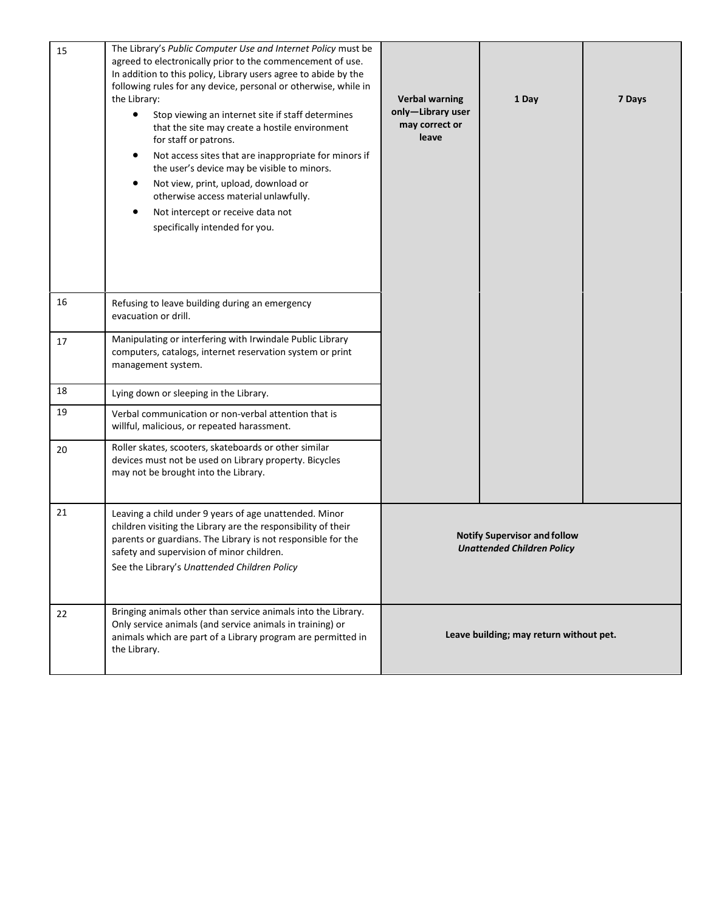| 15 | The Library's Public Computer Use and Internet Policy must be<br>agreed to electronically prior to the commencement of use.<br>In addition to this policy, Library users agree to abide by the<br>following rules for any device, personal or otherwise, while in<br>the Library:<br>Stop viewing an internet site if staff determines<br>$\bullet$<br>that the site may create a hostile environment<br>for staff or patrons.<br>Not access sites that are inappropriate for minors if<br>the user's device may be visible to minors.<br>Not view, print, upload, download or<br>otherwise access material unlawfully.<br>Not intercept or receive data not<br>specifically intended for you. | <b>Verbal warning</b><br>only-Library user<br>may correct or<br>leave    | 1 Day | 7 Days |
|----|------------------------------------------------------------------------------------------------------------------------------------------------------------------------------------------------------------------------------------------------------------------------------------------------------------------------------------------------------------------------------------------------------------------------------------------------------------------------------------------------------------------------------------------------------------------------------------------------------------------------------------------------------------------------------------------------|--------------------------------------------------------------------------|-------|--------|
| 16 | Refusing to leave building during an emergency<br>evacuation or drill.                                                                                                                                                                                                                                                                                                                                                                                                                                                                                                                                                                                                                         |                                                                          |       |        |
| 17 | Manipulating or interfering with Irwindale Public Library<br>computers, catalogs, internet reservation system or print<br>management system.                                                                                                                                                                                                                                                                                                                                                                                                                                                                                                                                                   |                                                                          |       |        |
| 18 | Lying down or sleeping in the Library.                                                                                                                                                                                                                                                                                                                                                                                                                                                                                                                                                                                                                                                         |                                                                          |       |        |
| 19 | Verbal communication or non-verbal attention that is<br>willful, malicious, or repeated harassment.                                                                                                                                                                                                                                                                                                                                                                                                                                                                                                                                                                                            |                                                                          |       |        |
| 20 | Roller skates, scooters, skateboards or other similar<br>devices must not be used on Library property. Bicycles<br>may not be brought into the Library.                                                                                                                                                                                                                                                                                                                                                                                                                                                                                                                                        |                                                                          |       |        |
| 21 | Leaving a child under 9 years of age unattended. Minor<br>children visiting the Library are the responsibility of their<br>parents or guardians. The Library is not responsible for the<br>safety and supervision of minor children.<br>See the Library's Unattended Children Policy                                                                                                                                                                                                                                                                                                                                                                                                           | <b>Notify Supervisor and follow</b><br><b>Unattended Children Policy</b> |       |        |
| 22 | Bringing animals other than service animals into the Library.<br>Only service animals (and service animals in training) or<br>animals which are part of a Library program are permitted in<br>the Library.                                                                                                                                                                                                                                                                                                                                                                                                                                                                                     | Leave building; may return without pet.                                  |       |        |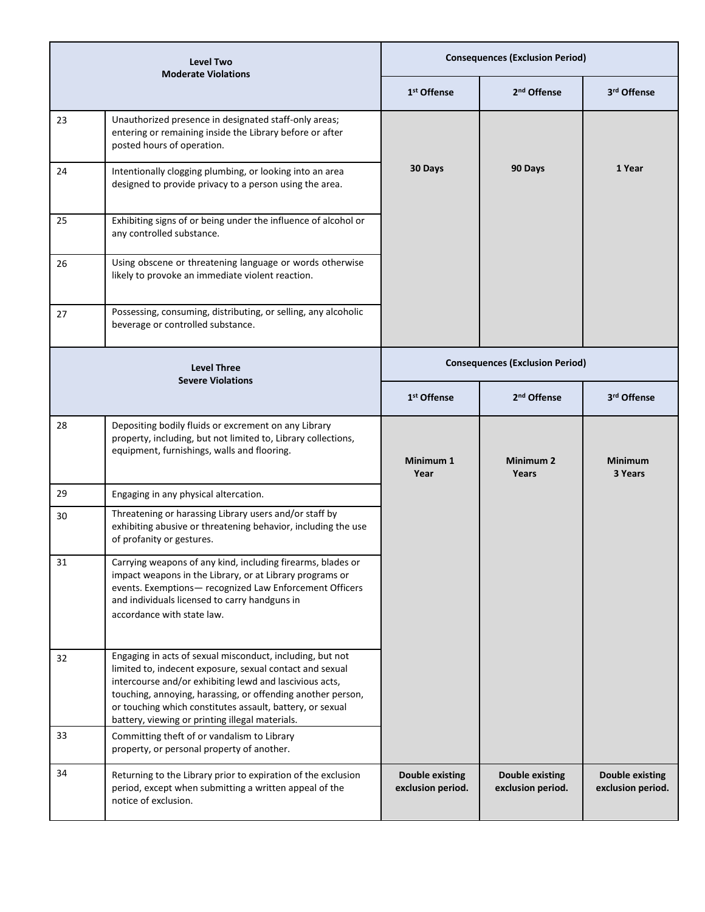| Level Two<br><b>Moderate Violations</b>        |                                                                                                                                                                                                                                                                                                                                                                 | <b>Consequences (Exclusion Period)</b>      |                                             |                                             |
|------------------------------------------------|-----------------------------------------------------------------------------------------------------------------------------------------------------------------------------------------------------------------------------------------------------------------------------------------------------------------------------------------------------------------|---------------------------------------------|---------------------------------------------|---------------------------------------------|
|                                                |                                                                                                                                                                                                                                                                                                                                                                 | 1 <sup>st</sup> Offense                     | 2 <sup>nd</sup> Offense                     | 3rd Offense                                 |
| 23                                             | Unauthorized presence in designated staff-only areas;<br>entering or remaining inside the Library before or after<br>posted hours of operation.                                                                                                                                                                                                                 |                                             |                                             |                                             |
| 24                                             | Intentionally clogging plumbing, or looking into an area<br>designed to provide privacy to a person using the area.                                                                                                                                                                                                                                             | 30 Days                                     | 90 Days                                     | 1 Year                                      |
| 25                                             | Exhibiting signs of or being under the influence of alcohol or<br>any controlled substance.                                                                                                                                                                                                                                                                     |                                             |                                             |                                             |
| 26                                             | Using obscene or threatening language or words otherwise<br>likely to provoke an immediate violent reaction.                                                                                                                                                                                                                                                    |                                             |                                             |                                             |
| 27                                             | Possessing, consuming, distributing, or selling, any alcoholic<br>beverage or controlled substance.                                                                                                                                                                                                                                                             |                                             |                                             |                                             |
| <b>Level Three</b><br><b>Severe Violations</b> |                                                                                                                                                                                                                                                                                                                                                                 | <b>Consequences (Exclusion Period)</b>      |                                             |                                             |
|                                                |                                                                                                                                                                                                                                                                                                                                                                 | 1 <sup>st</sup> Offense                     | 2 <sup>nd</sup> Offense                     | 3 <sup>rd</sup> Offense                     |
| 28                                             | Depositing bodily fluids or excrement on any Library<br>property, including, but not limited to, Library collections,<br>equipment, furnishings, walls and flooring.                                                                                                                                                                                            | Minimum 1<br>Year                           | Minimum 2<br>Years                          | <b>Minimum</b><br>3 Years                   |
| 29                                             | Engaging in any physical altercation.                                                                                                                                                                                                                                                                                                                           |                                             |                                             |                                             |
| 30                                             | Threatening or harassing Library users and/or staff by<br>exhibiting abusive or threatening behavior, including the use<br>of profanity or gestures.                                                                                                                                                                                                            |                                             |                                             |                                             |
| 31                                             | Carrying weapons of any kind, including firearms, blades or<br>impact weapons in the Library, or at Library programs or<br>events. Exemptions- recognized Law Enforcement Officers<br>and individuals licensed to carry handguns in<br>accordance with state law.                                                                                               |                                             |                                             |                                             |
| 32                                             | Engaging in acts of sexual misconduct, including, but not<br>limited to, indecent exposure, sexual contact and sexual<br>intercourse and/or exhibiting lewd and lascivious acts,<br>touching, annoying, harassing, or offending another person,<br>or touching which constitutes assault, battery, or sexual<br>battery, viewing or printing illegal materials. |                                             |                                             |                                             |
| 33                                             | Committing theft of or vandalism to Library<br>property, or personal property of another.                                                                                                                                                                                                                                                                       |                                             |                                             |                                             |
| 34                                             | Returning to the Library prior to expiration of the exclusion<br>period, except when submitting a written appeal of the<br>notice of exclusion.                                                                                                                                                                                                                 | <b>Double existing</b><br>exclusion period. | <b>Double existing</b><br>exclusion period. | <b>Double existing</b><br>exclusion period. |